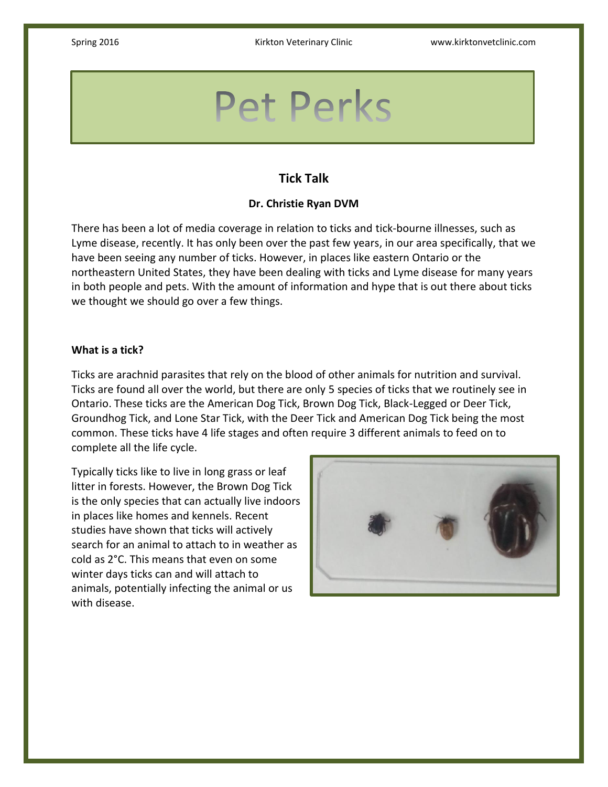# **Pet Perks**

# **Tick Talk**

# **Dr. Christie Ryan DVM**

There has been a lot of media coverage in relation to ticks and tick-bourne illnesses, such as Lyme disease, recently. It has only been over the past few years, in our area specifically, that we have been seeing any number of ticks. However, in places like eastern Ontario or the northeastern United States, they have been dealing with ticks and Lyme disease for many years in both people and pets. With the amount of information and hype that is out there about ticks we thought we should go over a few things.

## **What is a tick?**

Ticks are arachnid parasites that rely on the blood of other animals for nutrition and survival. Ticks are found all over the world, but there are only 5 species of ticks that we routinely see in Ontario. These ticks are the American Dog Tick, Brown Dog Tick, Black-Legged or Deer Tick, Groundhog Tick, and Lone Star Tick, with the Deer Tick and American Dog Tick being the most common. These ticks have 4 life stages and often require 3 different animals to feed on to complete all the life cycle.

Typically ticks like to live in long grass or leaf litter in forests. However, the Brown Dog Tick is the only species that can actually live indoors in places like homes and kennels. Recent studies have shown that ticks will actively search for an animal to attach to in weather as cold as 2°C. This means that even on some winter days ticks can and will attach to animals, potentially infecting the animal or us with disease.

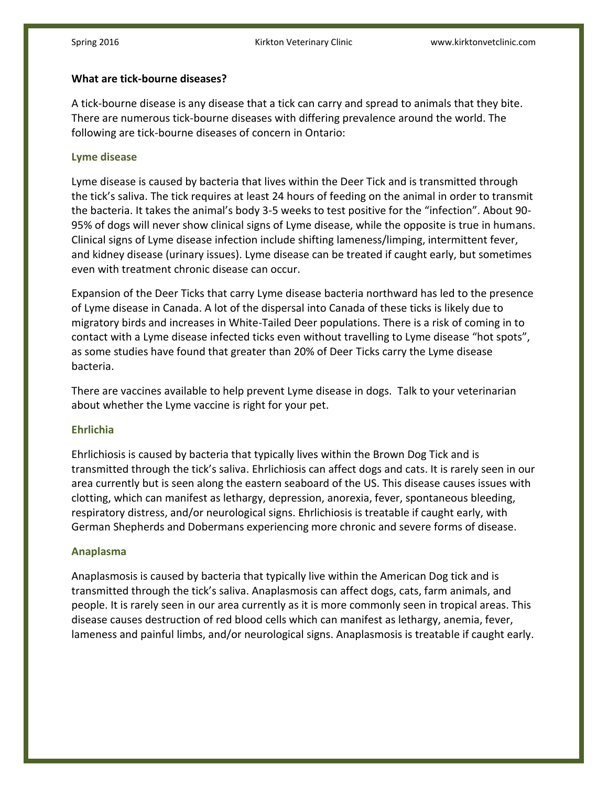# **What are tick-bourne diseases?**

A tick-bourne disease is any disease that a tick can carry and spread to animals that they bite. There are numerous tick-bourne diseases with differing prevalence around the world. The following are tick-bourne diseases of concern in Ontario:

# **Lyme disease**

Lyme disease is caused by bacteria that lives within the Deer Tick and is transmitted through the tick's saliva. The tick requires at least 24 hours of feeding on the animal in order to transmit the bacteria. It takes the animal's body 3-5 weeks to test positive for the "infection". About 90- 95% of dogs will never show clinical signs of Lyme disease, while the opposite is true in humans. Clinical signs of Lyme disease infection include shifting lameness/limping, intermittent fever, and kidney disease (urinary issues). Lyme disease can be treated if caught early, but sometimes even with treatment chronic disease can occur.

Expansion of the Deer Ticks that carry Lyme disease bacteria northward has led to the presence of Lyme disease in Canada. A lot of the dispersal into Canada of these ticks is likely due to migratory birds and increases in White-Tailed Deer populations. There is a risk of coming in to contact with a Lyme disease infected ticks even without travelling to Lyme disease "hot spots", as some studies have found that greater than 20% of Deer Ticks carry the Lyme disease bacteria.

There are vaccines available to help prevent Lyme disease in dogs. Talk to your veterinarian about whether the Lyme vaccine is right for your pet.

# **Ehrlichia**

Ehrlichiosis is caused by bacteria that typically lives within the Brown Dog Tick and is transmitted through the tick's saliva. Ehrlichiosis can affect dogs and cats. It is rarely seen in our area currently but is seen along the eastern seaboard of the US. This disease causes issues with clotting, which can manifest as lethargy, depression, anorexia, fever, spontaneous bleeding, respiratory distress, and/or neurological signs. Ehrlichiosis is treatable if caught early, with German Shepherds and Dobermans experiencing more chronic and severe forms of disease.

#### **Anaplasma**

Anaplasmosis is caused by bacteria that typically live within the American Dog tick and is transmitted through the tick's saliva. Anaplasmosis can affect dogs, cats, farm animals, and people. It is rarely seen in our area currently as it is more commonly seen in tropical areas. This disease causes destruction of red blood cells which can manifest as lethargy, anemia, fever, lameness and painful limbs, and/or neurological signs. Anaplasmosis is treatable if caught early.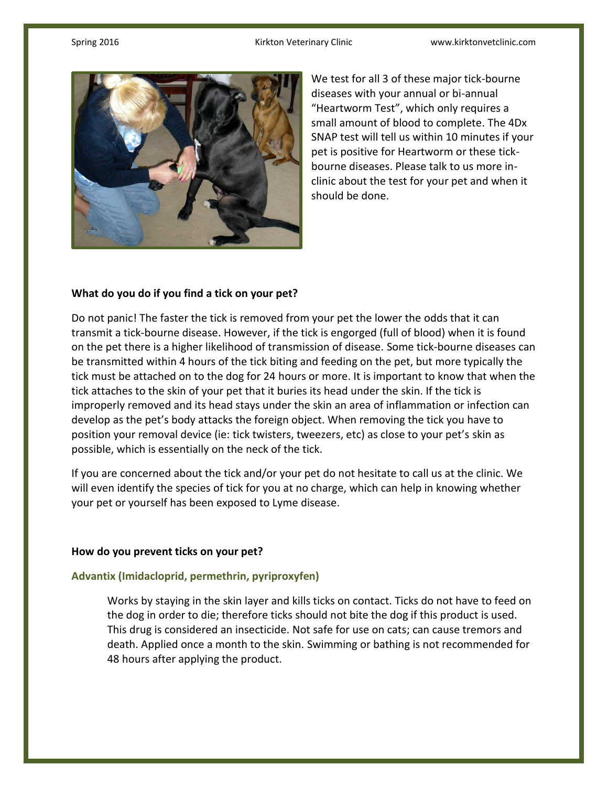

We test for all 3 of these major tick-bourne diseases with your annual or bi-annual "Heartworm Test", which only requires a small amount of blood to complete. The 4Dx SNAP test will tell us within 10 minutes if your pet is positive for Heartworm or these tickbourne diseases. Please talk to us more inclinic about the test for your pet and when it should be done.

# **What do you do if you find a tick on your pet?**

Do not panic! The faster the tick is removed from your pet the lower the odds that it can transmit a tick-bourne disease. However, if the tick is engorged (full of blood) when it is found on the pet there is a higher likelihood of transmission of disease. Some tick-bourne diseases can be transmitted within 4 hours of the tick biting and feeding on the pet, but more typically the tick must be attached on to the dog for 24 hours or more. It is important to know that when the tick attaches to the skin of your pet that it buries its head under the skin. If the tick is improperly removed and its head stays under the skin an area of inflammation or infection can develop as the pet's body attacks the foreign object. When removing the tick you have to position your removal device (ie: tick twisters, tweezers, etc) as close to your pet's skin as possible, which is essentially on the neck of the tick.

If you are concerned about the tick and/or your pet do not hesitate to call us at the clinic. We will even identify the species of tick for you at no charge, which can help in knowing whether your pet or yourself has been exposed to Lyme disease.

# **How do you prevent ticks on your pet?**

#### **Advantix (Imidacloprid, permethrin, pyriproxyfen)**

Works by staying in the skin layer and kills ticks on contact. Ticks do not have to feed on the dog in order to die; therefore ticks should not bite the dog if this product is used. This drug is considered an insecticide. Not safe for use on cats; can cause tremors and death. Applied once a month to the skin. Swimming or bathing is not recommended for 48 hours after applying the product.